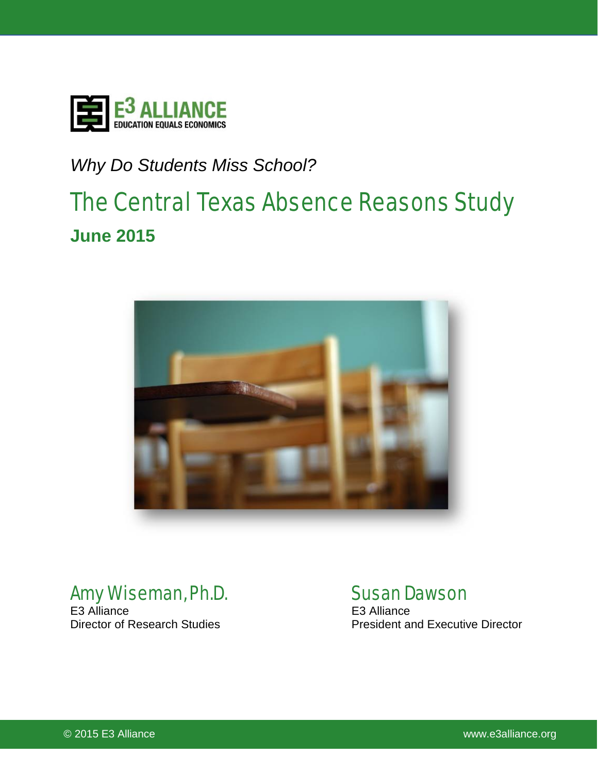

# *Why Do Students Miss School?*

# The Central Texas Absence Reasons Study **June 2015**



# **Amy Wiseman, Ph.D.** Susan Dawson<br>E3 Alliance<br>E3 Alliance

E3 Alliance<br>Director of Research Studies

President and Executive Director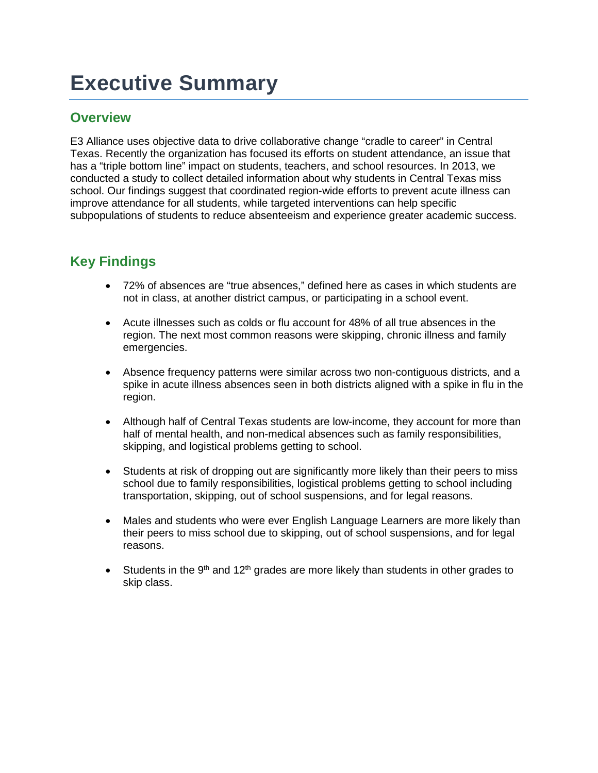# **Executive Summary**

### **Overview**

E3 Alliance uses objective data to drive collaborative change "cradle to career" in Central Texas. Recently the organization has focused its efforts on student attendance, an issue that has a "triple bottom line" impact on students, teachers, and school resources. In 2013, we conducted a study to collect detailed information about why students in Central Texas miss school. Our findings suggest that coordinated region-wide efforts to prevent acute illness can improve attendance for all students, while targeted interventions can help specific subpopulations of students to reduce absenteeism and experience greater academic success.

# **Key Findings**

- 72% of absences are "true absences," defined here as cases in which students are not in class, at another district campus, or participating in a school event.
- Acute illnesses such as colds or flu account for 48% of all true absences in the region. The next most common reasons were skipping, chronic illness and family emergencies.
- Absence frequency patterns were similar across two non-contiguous districts, and a spike in acute illness absences seen in both districts aligned with a spike in flu in the region.
- Although half of Central Texas students are low-income, they account for more than half of mental health, and non-medical absences such as family responsibilities, skipping, and logistical problems getting to school.
- Students at risk of dropping out are significantly more likely than their peers to miss school due to family responsibilities, logistical problems getting to school including transportation, skipping, out of school suspensions, and for legal reasons.
- Males and students who were ever English Language Learners are more likely than their peers to miss school due to skipping, out of school suspensions, and for legal reasons.
- Students in the 9<sup>th</sup> and 12<sup>th</sup> grades are more likely than students in other grades to skip class.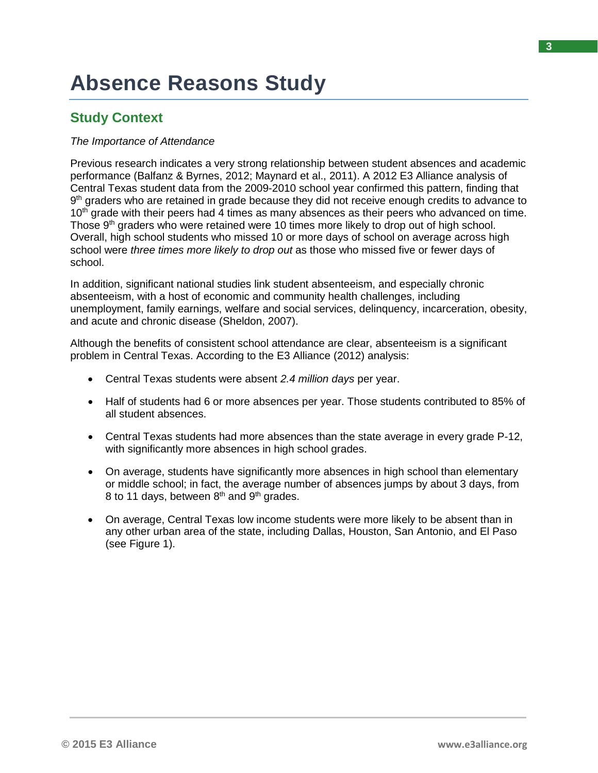# **Absence Reasons Study**

# **Study Context**

#### *The Importance of Attendance*

Previous research indicates a very strong relationship between student absences and academic performance (Balfanz & Byrnes, 2012; Maynard et al., 2011). A 2012 E3 Alliance analysis of Central Texas student data from the 2009-2010 school year confirmed this pattern, finding that 9<sup>th</sup> graders who are retained in grade because they did not receive enough credits to advance to 10<sup>th</sup> grade with their peers had 4 times as many absences as their peers who advanced on time. Those 9<sup>th</sup> graders who were retained were 10 times more likely to drop out of high school. Overall, high school students who missed 10 or more days of school on average across high school were *three times more likely to drop out* as those who missed five or fewer days of school.

In addition, significant national studies link student absenteeism, and especially chronic absenteeism, with a host of economic and community health challenges, including unemployment, family earnings, welfare and social services, delinquency, incarceration, obesity, and acute and chronic disease (Sheldon, 2007).

Although the benefits of consistent school attendance are clear, absenteeism is a significant problem in Central Texas. According to the E3 Alliance (2012) analysis:

- Central Texas students were absent *2.4 million days* per year.
- Half of students had 6 or more absences per year. Those students contributed to 85% of all student absences.
- Central Texas students had more absences than the state average in every grade P-12, with significantly more absences in high school grades.
- On average, students have significantly more absences in high school than elementary or middle school; in fact, the average number of absences jumps by about 3 days, from 8 to 11 days, between  $8<sup>th</sup>$  and  $9<sup>th</sup>$  grades.
- On average, Central Texas low income students were more likely to be absent than in any other urban area of the state, including Dallas, Houston, San Antonio, and El Paso (see Figure 1).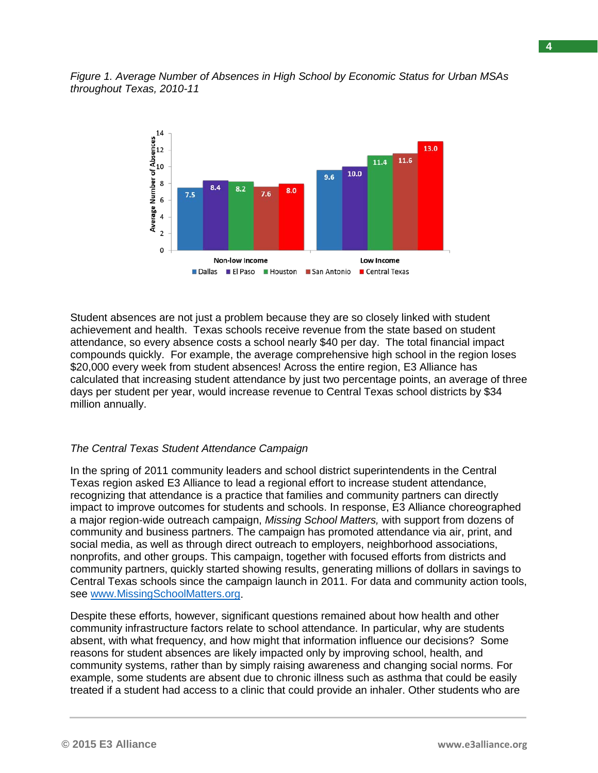*Figure 1. Average Number of Absences in High School by Economic Status for Urban MSAs throughout Texas, 2010-11*



Student absences are not just a problem because they are so closely linked with student achievement and health. Texas schools receive revenue from the state based on student attendance, so every absence costs a school nearly \$40 per day. The total financial impact compounds quickly. For example, the average comprehensive high school in the region loses \$20,000 every week from student absences! Across the entire region, E3 Alliance has calculated that increasing student attendance by just two percentage points, an average of three days per student per year, would increase revenue to Central Texas school districts by \$34 million annually.

#### *The Central Texas Student Attendance Campaign*

In the spring of 2011 community leaders and school district superintendents in the Central Texas region asked E3 Alliance to lead a regional effort to increase student attendance, recognizing that attendance is a practice that families and community partners can directly impact to improve outcomes for students and schools. In response, E3 Alliance choreographed a major region-wide outreach campaign, *Missing School Matters,* with support from dozens of community and business partners. The campaign has promoted attendance via air, print, and social media, as well as through direct outreach to employers, neighborhood associations, nonprofits, and other groups. This campaign, together with focused efforts from districts and community partners, quickly started showing results, generating millions of dollars in savings to Central Texas schools since the campaign launch in 2011. For data and community action tools, see [www.MissingSchoolMatters.org.](http://www.missingschoolmatters.org/)

Despite these efforts, however, significant questions remained about how health and other community infrastructure factors relate to school attendance. In particular, why are students absent, with what frequency, and how might that information influence our decisions? Some reasons for student absences are likely impacted only by improving school, health, and community systems, rather than by simply raising awareness and changing social norms. For example, some students are absent due to chronic illness such as asthma that could be easily treated if a student had access to a clinic that could provide an inhaler. Other students who are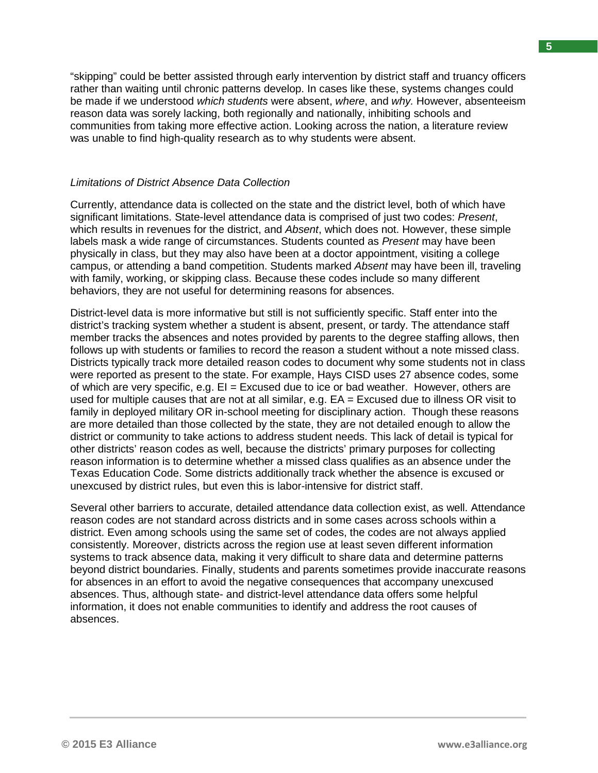"skipping" could be better assisted through early intervention by district staff and truancy officers rather than waiting until chronic patterns develop. In cases like these, systems changes could be made if we understood *which students* were absent, *where*, and *why.* However, absenteeism reason data was sorely lacking, both regionally and nationally, inhibiting schools and communities from taking more effective action. Looking across the nation, a literature review was unable to find high-quality research as to why students were absent.

#### *Limitations of District Absence Data Collection*

Currently, attendance data is collected on the state and the district level, both of which have significant limitations. State-level attendance data is comprised of just two codes: *Present*, which results in revenues for the district, and *Absent*, which does not. However, these simple labels mask a wide range of circumstances. Students counted as *Present* may have been physically in class, but they may also have been at a doctor appointment, visiting a college campus, or attending a band competition. Students marked *Absent* may have been ill, traveling with family, working, or skipping class. Because these codes include so many different behaviors, they are not useful for determining reasons for absences.

District-level data is more informative but still is not sufficiently specific. Staff enter into the district's tracking system whether a student is absent, present, or tardy. The attendance staff member tracks the absences and notes provided by parents to the degree staffing allows, then follows up with students or families to record the reason a student without a note missed class. Districts typically track more detailed reason codes to document why some students not in class were reported as present to the state. For example, Hays CISD uses 27 absence codes, some of which are very specific, e.g.  $El = Excused$  due to ice or bad weather. However, others are used for multiple causes that are not at all similar, e.g. EA = Excused due to illness OR visit to family in deployed military OR in-school meeting for disciplinary action. Though these reasons are more detailed than those collected by the state, they are not detailed enough to allow the district or community to take actions to address student needs. This lack of detail is typical for other districts' reason codes as well, because the districts' primary purposes for collecting reason information is to determine whether a missed class qualifies as an absence under the Texas Education Code. Some districts additionally track whether the absence is excused or unexcused by district rules, but even this is labor-intensive for district staff.

Several other barriers to accurate, detailed attendance data collection exist, as well. Attendance reason codes are not standard across districts and in some cases across schools within a district. Even among schools using the same set of codes, the codes are not always applied consistently. Moreover, districts across the region use at least seven different information systems to track absence data, making it very difficult to share data and determine patterns beyond district boundaries. Finally, students and parents sometimes provide inaccurate reasons for absences in an effort to avoid the negative consequences that accompany unexcused absences. Thus, although state- and district-level attendance data offers some helpful information, it does not enable communities to identify and address the root causes of absences.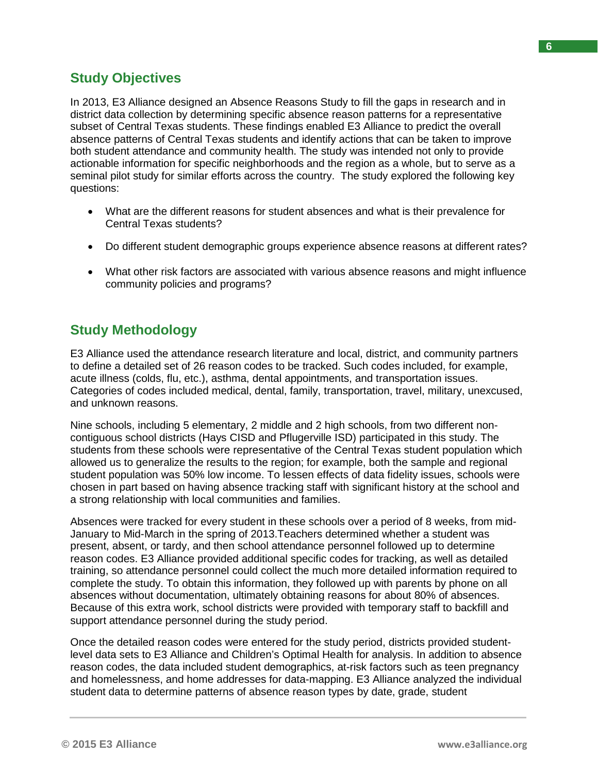In 2013, E3 Alliance designed an Absence Reasons Study to fill the gaps in research and in district data collection by determining specific absence reason patterns for a representative subset of Central Texas students. These findings enabled E3 Alliance to predict the overall absence patterns of Central Texas students and identify actions that can be taken to improve both student attendance and community health. The study was intended not only to provide actionable information for specific neighborhoods and the region as a whole, but to serve as a seminal pilot study for similar efforts across the country. The study explored the following key questions:

- What are the different reasons for student absences and what is their prevalence for Central Texas students?
- Do different student demographic groups experience absence reasons at different rates?
- What other risk factors are associated with various absence reasons and might influence community policies and programs?

# **Study Methodology**

E3 Alliance used the attendance research literature and local, district, and community partners to define a detailed set of 26 reason codes to be tracked. Such codes included, for example, acute illness (colds, flu, etc.), asthma, dental appointments, and transportation issues. Categories of codes included medical, dental, family, transportation, travel, military, unexcused, and unknown reasons.

Nine schools, including 5 elementary, 2 middle and 2 high schools, from two different noncontiguous school districts (Hays CISD and Pflugerville ISD) participated in this study. The students from these schools were representative of the Central Texas student population which allowed us to generalize the results to the region; for example, both the sample and regional student population was 50% low income. To lessen effects of data fidelity issues, schools were chosen in part based on having absence tracking staff with significant history at the school and a strong relationship with local communities and families.

Absences were tracked for every student in these schools over a period of 8 weeks, from mid-January to Mid-March in the spring of 2013.Teachers determined whether a student was present, absent, or tardy, and then school attendance personnel followed up to determine reason codes. E3 Alliance provided additional specific codes for tracking, as well as detailed training, so attendance personnel could collect the much more detailed information required to complete the study. To obtain this information, they followed up with parents by phone on all absences without documentation, ultimately obtaining reasons for about 80% of absences. Because of this extra work, school districts were provided with temporary staff to backfill and support attendance personnel during the study period.

Once the detailed reason codes were entered for the study period, districts provided studentlevel data sets to E3 Alliance and Children's Optimal Health for analysis. In addition to absence reason codes, the data included student demographics, at-risk factors such as teen pregnancy and homelessness, and home addresses for data-mapping. E3 Alliance analyzed the individual student data to determine patterns of absence reason types by date, grade, student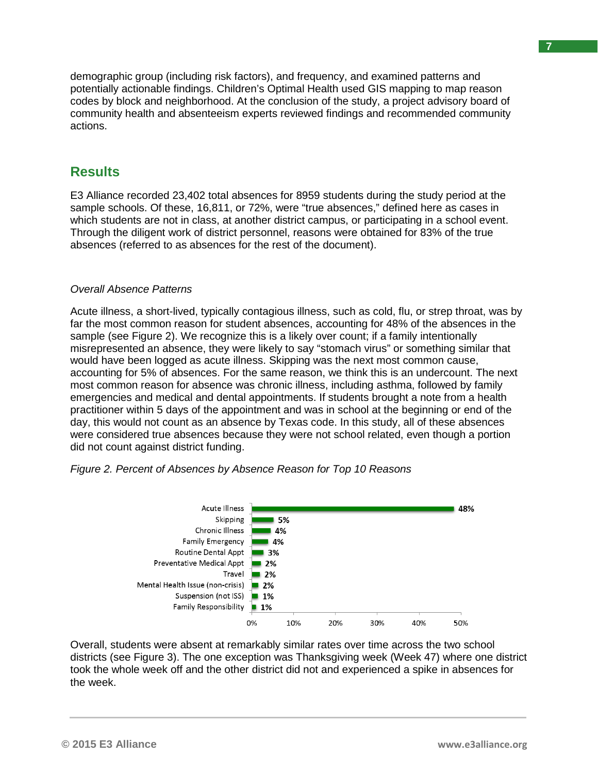demographic group (including risk factors), and frequency, and examined patterns and potentially actionable findings. Children's Optimal Health used GIS mapping to map reason codes by block and neighborhood. At the conclusion of the study, a project advisory board of community health and absenteeism experts reviewed findings and recommended community actions.

### **Results**

E3 Alliance recorded 23,402 total absences for 8959 students during the study period at the sample schools. Of these, 16,811, or 72%, were "true absences," defined here as cases in which students are not in class, at another district campus, or participating in a school event. Through the diligent work of district personnel, reasons were obtained for 83% of the true absences (referred to as absences for the rest of the document).

### *Overall Absence Patterns*

Acute illness, a short-lived, typically contagious illness, such as cold, flu, or strep throat, was by far the most common reason for student absences, accounting for 48% of the absences in the sample (see Figure 2). We recognize this is a likely over count; if a family intentionally misrepresented an absence, they were likely to say "stomach virus" or something similar that would have been logged as acute illness. Skipping was the next most common cause, accounting for 5% of absences. For the same reason, we think this is an undercount. The next most common reason for absence was chronic illness, including asthma, followed by family emergencies and medical and dental appointments. If students brought a note from a health practitioner within 5 days of the appointment and was in school at the beginning or end of the day, this would not count as an absence by Texas code. In this study, all of these absences were considered true absences because they were not school related, even though a portion did not count against district funding.



*Figure 2. Percent of Absences by Absence Reason for Top 10 Reasons*

Overall, students were absent at remarkably similar rates over time across the two school districts (see Figure 3). The one exception was Thanksgiving week (Week 47) where one district took the whole week off and the other district did not and experienced a spike in absences for the week.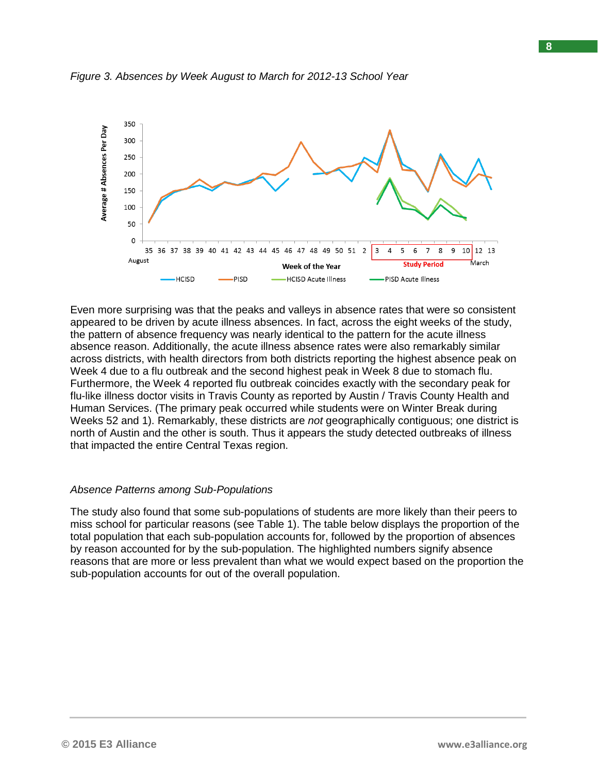

*Figure 3. Absences by Week August to March for 2012-13 School Year*

Even more surprising was that the peaks and valleys in absence rates that were so consistent appeared to be driven by acute illness absences. In fact, across the eight weeks of the study, the pattern of absence frequency was nearly identical to the pattern for the acute illness absence reason. Additionally, the acute illness absence rates were also remarkably similar across districts, with health directors from both districts reporting the highest absence peak on Week 4 due to a flu outbreak and the second highest peak in Week 8 due to stomach flu. Furthermore, the Week 4 reported flu outbreak coincides exactly with the secondary peak for flu-like illness doctor visits in Travis County as reported by Austin / Travis County Health and Human Services. (The primary peak occurred while students were on Winter Break during Weeks 52 and 1). Remarkably, these districts are *not* geographically contiguous; one district is north of Austin and the other is south. Thus it appears the study detected outbreaks of illness that impacted the entire Central Texas region.

#### *Absence Patterns among Sub-Populations*

The study also found that some sub-populations of students are more likely than their peers to miss school for particular reasons (see Table 1). The table below displays the proportion of the total population that each sub-population accounts for, followed by the proportion of absences by reason accounted for by the sub-population. The highlighted numbers signify absence reasons that are more or less prevalent than what we would expect based on the proportion the sub-population accounts for out of the overall population.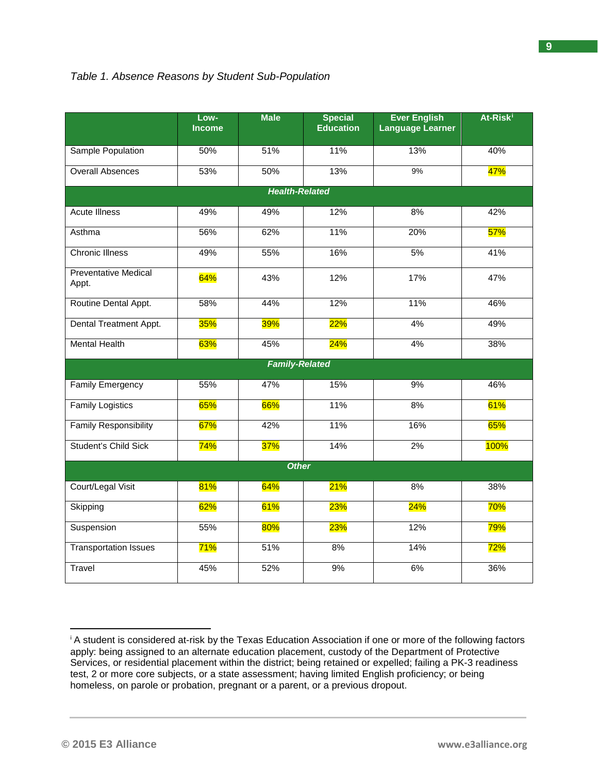|                                      | Low-<br><b>Income</b> | <b>Male</b>           | <b>Special</b><br><b>Education</b> | <b>Ever English</b><br><b>Language Learner</b> | At-Risk <sup>i</sup> |
|--------------------------------------|-----------------------|-----------------------|------------------------------------|------------------------------------------------|----------------------|
| Sample Population                    | 50%                   | 51%                   | 11%                                | 13%                                            | 40%                  |
| <b>Overall Absences</b>              | 53%                   | 50%                   | 13%                                | 9%                                             | 47%                  |
|                                      |                       | <b>Health-Related</b> |                                    |                                                |                      |
| <b>Acute Illness</b>                 | 49%                   | 49%                   | 12%                                | 8%                                             | 42%                  |
| Asthma                               | 56%                   | 62%                   | 11%                                | 20%                                            | 57%                  |
| <b>Chronic Illness</b>               | 49%                   | 55%                   | 16%                                | 5%                                             | 41%                  |
| <b>Preventative Medical</b><br>Appt. | 64%                   | 43%                   | 12%                                | 17%                                            | 47%                  |
| Routine Dental Appt.                 | 58%                   | 44%                   | 12%                                | 11%                                            | 46%                  |
| Dental Treatment Appt.               | 35%                   | <b>39%</b>            | $22\%$                             | 4%                                             | 49%                  |
| <b>Mental Health</b>                 | 63%                   | 45%                   | 24%                                | 4%                                             | 38%                  |
|                                      |                       | <b>Family-Related</b> |                                    |                                                |                      |
| Family Emergency                     | 55%                   | 47%                   | 15%                                | 9%                                             | 46%                  |
| <b>Family Logistics</b>              | 65%                   | 66%                   | 11%                                | 8%                                             | 61%                  |
| <b>Family Responsibility</b>         | 67%                   | 42%                   | 11%                                | 16%                                            | 65%                  |
| <b>Student's Child Sick</b>          | 74%                   | 37%                   | 14%                                | 2%                                             | 100%                 |
|                                      |                       | <b>Other</b>          |                                    |                                                |                      |
| Court/Legal Visit                    | 81%                   | 64%                   | 21%                                | 8%                                             | 38%                  |
| Skipping                             | 62%                   | 61%                   | 23%                                | 24%                                            | 70%                  |
| Suspension                           | 55%                   | $80\%$                | 23%                                | 12%                                            | 79%                  |
| <b>Transportation Issues</b>         | 71%                   | 51%                   | 8%                                 | 14%                                            | 72%                  |
| <b>Travel</b>                        | 45%                   | 52%                   | 9%                                 | 6%                                             | 36%                  |

<span id="page-8-0"></span><sup>&</sup>lt;sup>i</sup> A student is considered at-risk by the Texas Education Association if one or more of the following factors apply: being assigned to an alternate education placement, custody of the Department of Protective Services, or residential placement within the district; being retained or expelled; failing a PK-3 readiness test, 2 or more core subjects, or a state assessment; having limited English proficiency; or being homeless, on parole or probation, pregnant or a parent, or a previous dropout.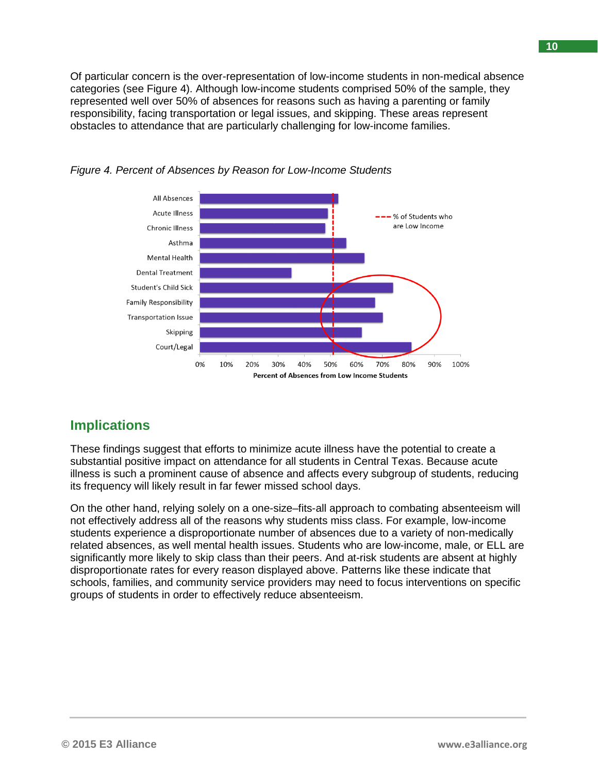Of particular concern is the over-representation of low-income students in non-medical absence categories (see Figure 4). Although low-income students comprised 50% of the sample, they represented well over 50% of absences for reasons such as having a parenting or family responsibility, facing transportation or legal issues, and skipping. These areas represent obstacles to attendance that are particularly challenging for low-income families.





## **Implications**

These findings suggest that efforts to minimize acute illness have the potential to create a substantial positive impact on attendance for all students in Central Texas. Because acute illness is such a prominent cause of absence and affects every subgroup of students, reducing its frequency will likely result in far fewer missed school days.

On the other hand, relying solely on a one-size–fits-all approach to combating absenteeism will not effectively address all of the reasons why students miss class. For example, low-income students experience a disproportionate number of absences due to a variety of non-medically related absences, as well mental health issues. Students who are low-income, male, or ELL are significantly more likely to skip class than their peers. And at-risk students are absent at highly disproportionate rates for every reason displayed above. Patterns like these indicate that schools, families, and community service providers may need to focus interventions on specific groups of students in order to effectively reduce absenteeism.